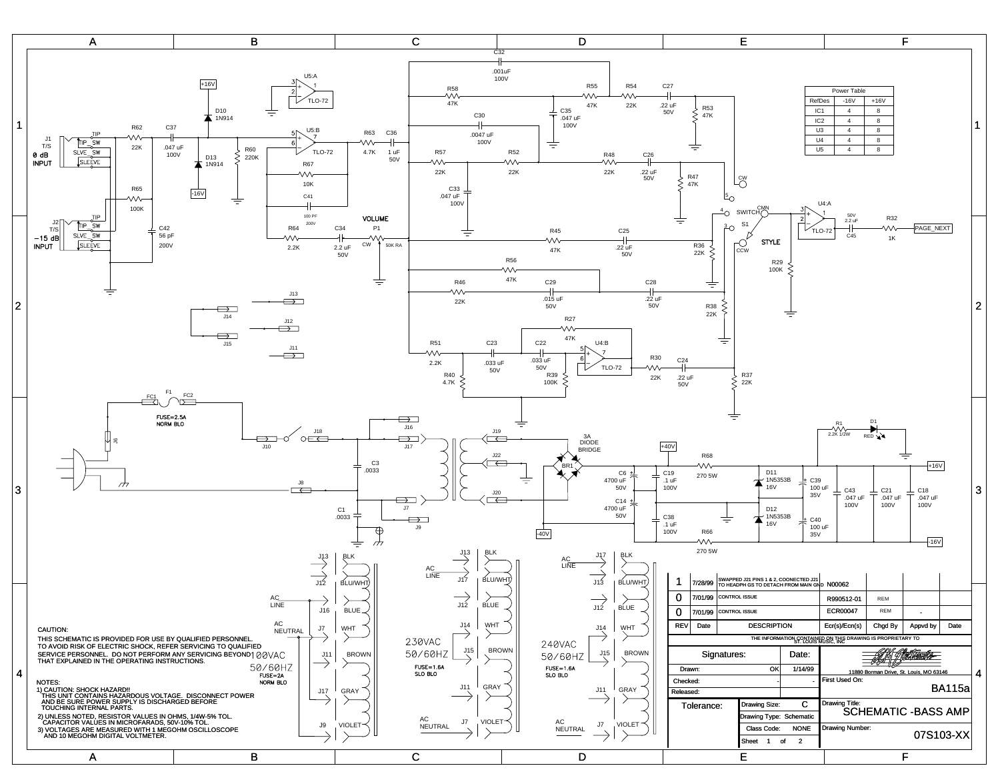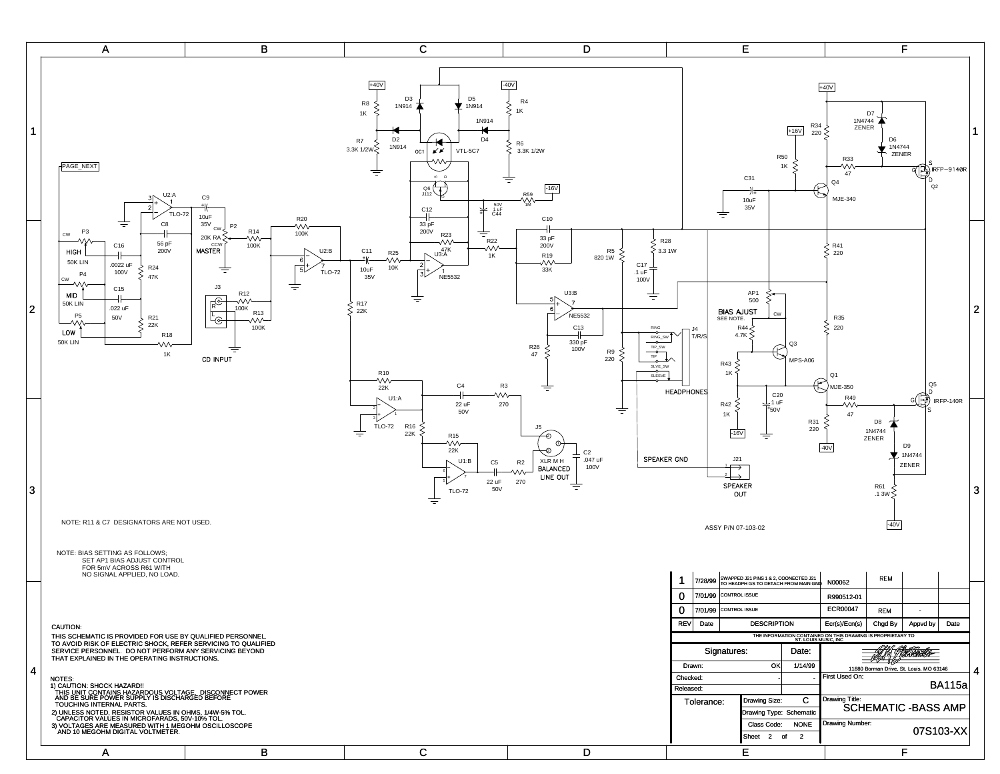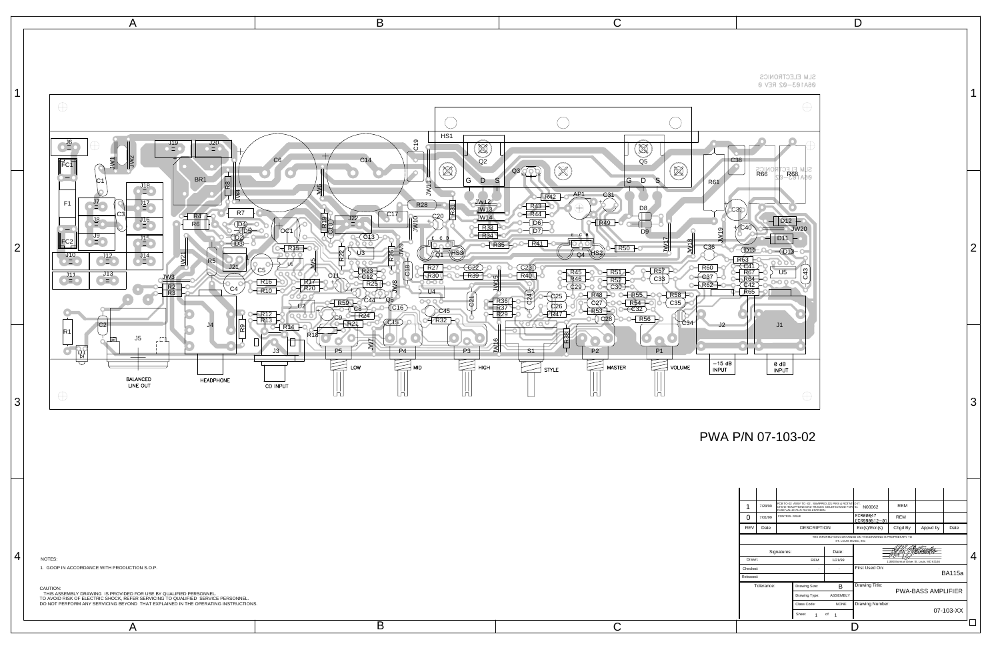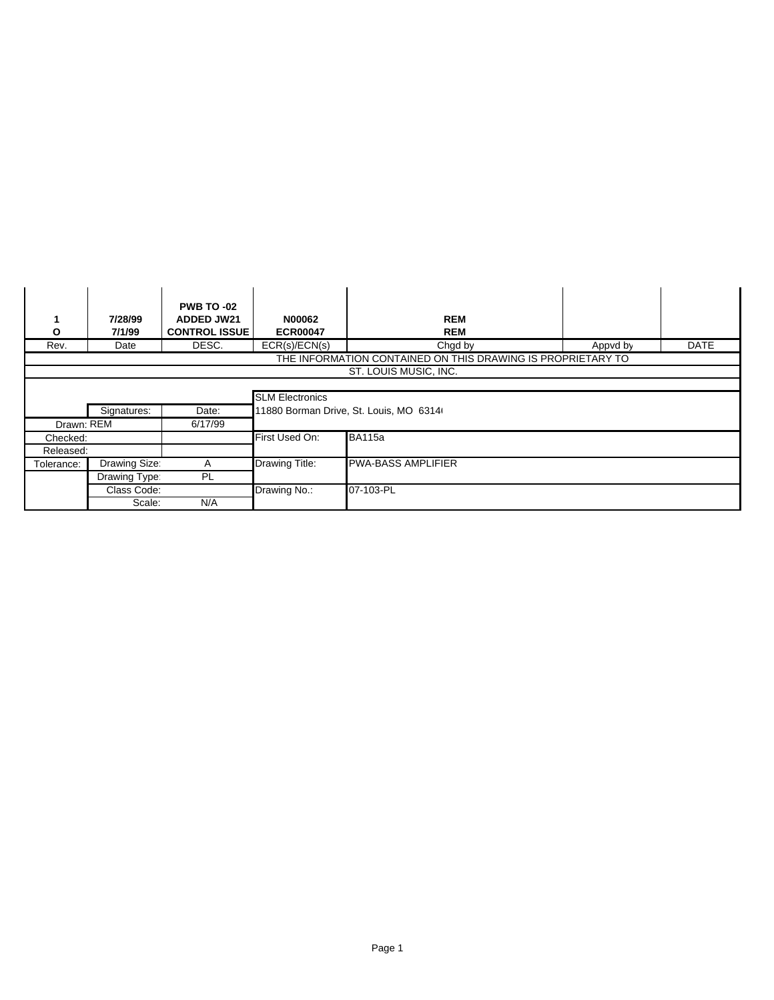| Ο                    | 7/28/99<br>7/1/99 | <b>PWB TO -02</b><br><b>ADDED JW21</b><br><b>CONTROL ISSUE</b> | <b>N00062</b><br><b>ECR00047</b> | <b>REM</b><br><b>REM</b>                                    |          |             |  |  |
|----------------------|-------------------|----------------------------------------------------------------|----------------------------------|-------------------------------------------------------------|----------|-------------|--|--|
| Rev.                 | Date              | DESC.                                                          | ECR(s)/ECN(s)                    | Chgd by                                                     | Appvd by | <b>DATE</b> |  |  |
|                      |                   |                                                                |                                  | THE INFORMATION CONTAINED ON THIS DRAWING IS PROPRIETARY TO |          |             |  |  |
|                      |                   |                                                                |                                  | ST. LOUIS MUSIC, INC.                                       |          |             |  |  |
|                      |                   |                                                                |                                  |                                                             |          |             |  |  |
|                      |                   |                                                                | <b>SLM Electronics</b>           |                                                             |          |             |  |  |
| Signatures:<br>Date: |                   | 11880 Borman Drive, St. Louis, MO 6314                         |                                  |                                                             |          |             |  |  |
| Drawn: REM           |                   | 6/17/99                                                        |                                  |                                                             |          |             |  |  |
| Checked:             |                   |                                                                | First Used On:                   | <b>BA115a</b>                                               |          |             |  |  |
| Released:            |                   |                                                                |                                  |                                                             |          |             |  |  |
| Tolerance:           | Drawing Size:     | A                                                              | Drawing Title:                   | <b>PWA-BASS AMPLIFIER</b>                                   |          |             |  |  |
|                      | Drawing Type:     | <b>PL</b>                                                      |                                  |                                                             |          |             |  |  |
|                      | Class Code:       |                                                                | Drawing No.:                     | 07-103-PL                                                   |          |             |  |  |
|                      | Scale:            | N/A                                                            |                                  |                                                             |          |             |  |  |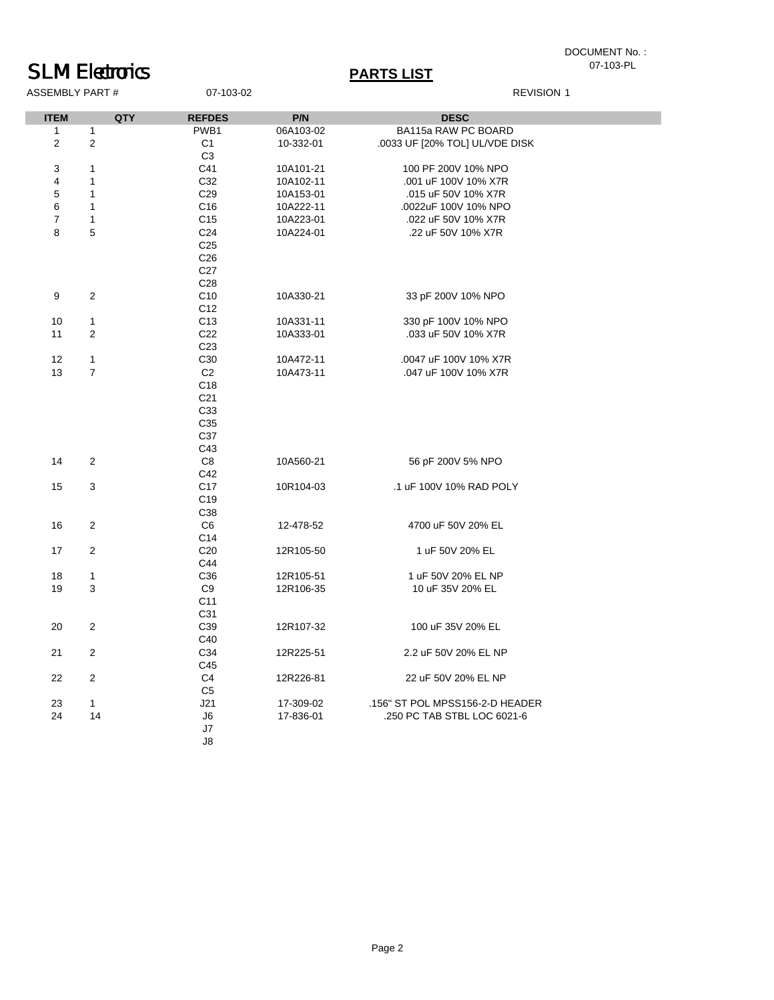## DOCUMENT No. :<br>07-103-PL

# **SLM Electronics**<br>ASSEMBLY PART # 07-103-02

| ASSEMBLY PART # |  |
|-----------------|--|

### **REVISION 1**

| <b>ITEM</b>    | QTY                     | <b>REFDES</b>   | P/N       | <b>DESC</b>                     |
|----------------|-------------------------|-----------------|-----------|---------------------------------|
| $\mathbf 1$    | $\mathbf{1}$            | PWB1            | 06A103-02 | BA115a RAW PC BOARD             |
| $\overline{2}$ | $\overline{2}$          | C <sub>1</sub>  | 10-332-01 | .0033 UF [20% TOL] UL/VDE DISK  |
|                |                         | C <sub>3</sub>  |           |                                 |
| 3              | $\mathbf{1}$            | C41             | 10A101-21 | 100 PF 200V 10% NPO             |
| 4              | $\mathbf{1}$            | C32             | 10A102-11 | .001 uF 100V 10% X7R            |
| 5              | $\mathbf{1}$            | C <sub>29</sub> | 10A153-01 | .015 uF 50V 10% X7R             |
| 6              | $\mathbf{1}$            | C <sub>16</sub> | 10A222-11 | .0022uF 100V 10% NPO            |
| $\overline{7}$ | $\mathbf{1}$            | C <sub>15</sub> | 10A223-01 | .022 uF 50V 10% X7R             |
| 8              | 5                       | C <sub>24</sub> | 10A224-01 | .22 uF 50V 10% X7R              |
|                |                         | C <sub>25</sub> |           |                                 |
|                |                         | C <sub>26</sub> |           |                                 |
|                |                         | C <sub>27</sub> |           |                                 |
|                |                         | C <sub>28</sub> |           |                                 |
| 9              | $\overline{2}$          | C <sub>10</sub> | 10A330-21 | 33 pF 200V 10% NPO              |
|                |                         | C <sub>12</sub> |           |                                 |
| 10             | $\mathbf{1}$            | C <sub>13</sub> | 10A331-11 | 330 pF 100V 10% NPO             |
| 11             | 2                       | C <sub>22</sub> | 10A333-01 | .033 uF 50V 10% X7R             |
|                |                         | C <sub>23</sub> |           |                                 |
| 12             | $\mathbf{1}$            | C30             | 10A472-11 | .0047 uF 100V 10% X7R           |
| 13             | $\overline{7}$          | C <sub>2</sub>  | 10A473-11 | .047 uF 100V 10% X7R            |
|                |                         | C <sub>18</sub> |           |                                 |
|                |                         | C <sub>21</sub> |           |                                 |
|                |                         | C33             |           |                                 |
|                |                         | C35             |           |                                 |
|                |                         | C37             |           |                                 |
|                |                         | C43             |           |                                 |
| 14             | $\overline{2}$          | $\mbox{C8}$     | 10A560-21 | 56 pF 200V 5% NPO               |
|                |                         | C42             |           |                                 |
| 15             | 3                       | C <sub>17</sub> | 10R104-03 | .1 uF 100V 10% RAD POLY         |
|                |                         | C <sub>19</sub> |           |                                 |
|                |                         | C38             |           |                                 |
| 16             | $\overline{\mathbf{c}}$ | C6              | 12-478-52 | 4700 uF 50V 20% EL              |
|                |                         | C14             |           |                                 |
| 17             | $\overline{2}$          | C <sub>20</sub> | 12R105-50 | 1 uF 50V 20% EL                 |
|                |                         | C44             |           |                                 |
| 18             | $\mathbf{1}$            | C <sub>36</sub> | 12R105-51 | 1 uF 50V 20% EL NP              |
| 19             | 3                       | C <sub>9</sub>  | 12R106-35 | 10 uF 35V 20% EL                |
|                |                         | C <sub>11</sub> |           |                                 |
|                |                         | C31             |           |                                 |
| 20             | $\overline{2}$          | C39             | 12R107-32 | 100 uF 35V 20% EL               |
|                |                         | C40             |           |                                 |
| 21             | $\overline{\mathbf{c}}$ | C34             | 12R225-51 | 2.2 uF 50V 20% EL NP            |
|                |                         | C45             |           |                                 |
| 22             | $\sqrt{2}$              | C4              | 12R226-81 | 22 uF 50V 20% EL NP             |
|                |                         | C <sub>5</sub>  |           |                                 |
| 23             | $\mathbf{1}$            | J21             | 17-309-02 | .156" ST POL MPSS156-2-D HEADER |
| 24             | 14                      | J6              | 17-836-01 | .250 PC TAB STBL LOC 6021-6     |
|                |                         | J7              |           |                                 |
|                |                         | J8              |           |                                 |
|                |                         |                 |           |                                 |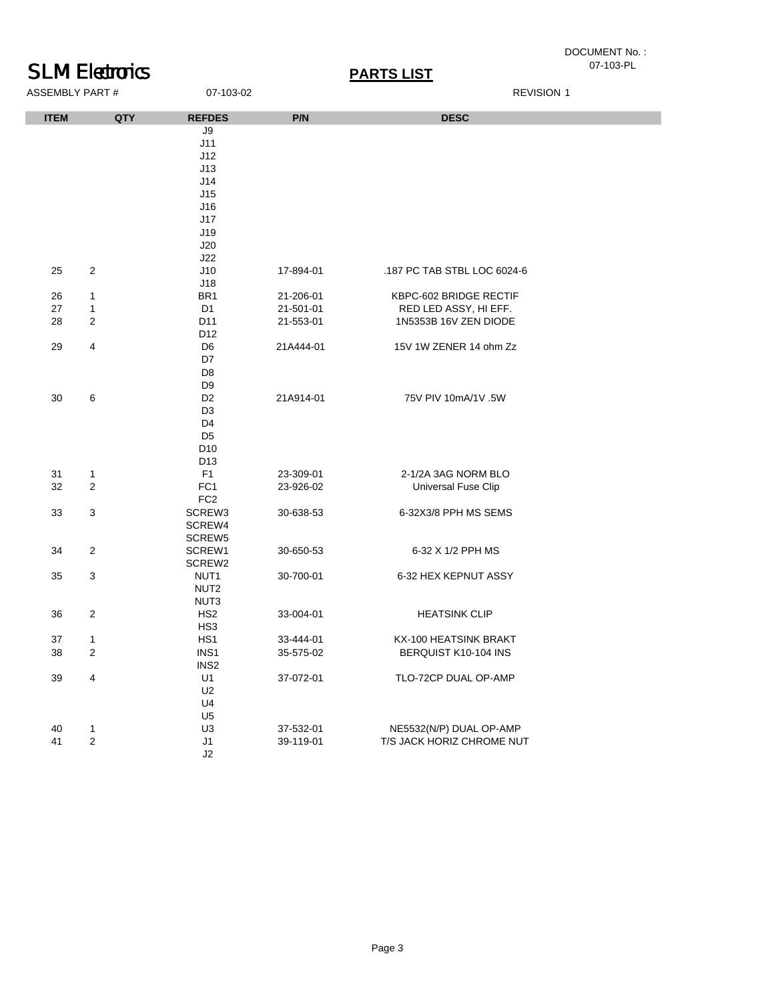# DOCUMENT No. :<br>07-103-PL

# **SLM Electronics**<br>ASSEMBLY PART # 07-103-02 **PARTS LIST**<br>REVISION 1

ASSEMBLY PART #

| <b>ITEM</b> | <b>QTY</b>     | <b>REFDES</b>    | P/N       | <b>DESC</b>                 |
|-------------|----------------|------------------|-----------|-----------------------------|
|             |                | J9               |           |                             |
|             |                | J11              |           |                             |
|             |                | J12              |           |                             |
|             |                | J13              |           |                             |
|             |                | J14              |           |                             |
|             |                | J15              |           |                             |
|             |                | J16              |           |                             |
|             |                | J17              |           |                             |
|             |                | J19              |           |                             |
|             |                | J20              |           |                             |
|             |                | J22              |           |                             |
| 25          | $\overline{2}$ | J10              | 17-894-01 | .187 PC TAB STBL LOC 6024-6 |
|             |                | J18              |           |                             |
| 26          | $\mathbf{1}$   | BR <sub>1</sub>  | 21-206-01 | KBPC-602 BRIDGE RECTIF      |
| 27          | $\mathbf{1}$   | D <sub>1</sub>   | 21-501-01 | RED LED ASSY, HI EFF.       |
| 28          | $\overline{2}$ | D11              | 21-553-01 | 1N5353B 16V ZEN DIODE       |
|             |                | D <sub>12</sub>  |           |                             |
| 29          | $\overline{4}$ | D <sub>6</sub>   | 21A444-01 | 15V 1W ZENER 14 ohm Zz      |
|             |                | D7               |           |                             |
|             |                | D <sub>8</sub>   |           |                             |
|             |                | D <sub>9</sub>   |           |                             |
| 30          | 6              | D <sub>2</sub>   | 21A914-01 | 75V PIV 10mA/1V .5W         |
|             |                | D <sub>3</sub>   |           |                             |
|             |                | D <sub>4</sub>   |           |                             |
|             |                | D <sub>5</sub>   |           |                             |
|             |                | D <sub>10</sub>  |           |                             |
|             |                | D13              |           |                             |
| 31          | $\mathbf{1}$   | F <sub>1</sub>   | 23-309-01 | 2-1/2A 3AG NORM BLO         |
| 32          | $\overline{2}$ | FC <sub>1</sub>  | 23-926-02 | Universal Fuse Clip         |
|             |                | FC <sub>2</sub>  |           |                             |
| 33          | 3              | SCREW3           | 30-638-53 | 6-32X3/8 PPH MS SEMS        |
|             |                | SCREW4           |           |                             |
|             |                | SCREW5           |           |                             |
| 34          | $\sqrt{2}$     | SCREW1           | 30-650-53 | 6-32 X 1/2 PPH MS           |
|             |                | SCREW2           |           |                             |
| 35          | 3              | NUT <sub>1</sub> | 30-700-01 | 6-32 HEX KEPNUT ASSY        |
|             |                | NUT <sub>2</sub> |           |                             |
|             |                | NUT3             |           |                             |
| 36          | $\overline{c}$ | HS <sub>2</sub>  | 33-004-01 | <b>HEATSINK CLIP</b>        |
|             |                | HS <sub>3</sub>  |           |                             |
| 37          | $\mathbf{1}$   | HS <sub>1</sub>  | 33-444-01 | KX-100 HEATSINK BRAKT       |
| 38          | $\overline{c}$ | INS1             | 35-575-02 | BERQUIST K10-104 INS        |
|             |                | INS <sub>2</sub> |           |                             |
| 39          | 4              | U1               | 37-072-01 | TLO-72CP DUAL OP-AMP        |
|             |                | U <sub>2</sub>   |           |                             |
|             |                | U <sub>4</sub>   |           |                             |
|             |                | U <sub>5</sub>   |           |                             |
| 40          | $\mathbf{1}$   | U <sub>3</sub>   | 37-532-01 | NE5532(N/P) DUAL OP-AMP     |
| 41          | $\mathbf{2}$   | J1               | 39-119-01 | T/S JACK HORIZ CHROME NUT   |
|             |                | J <sub>2</sub>   |           |                             |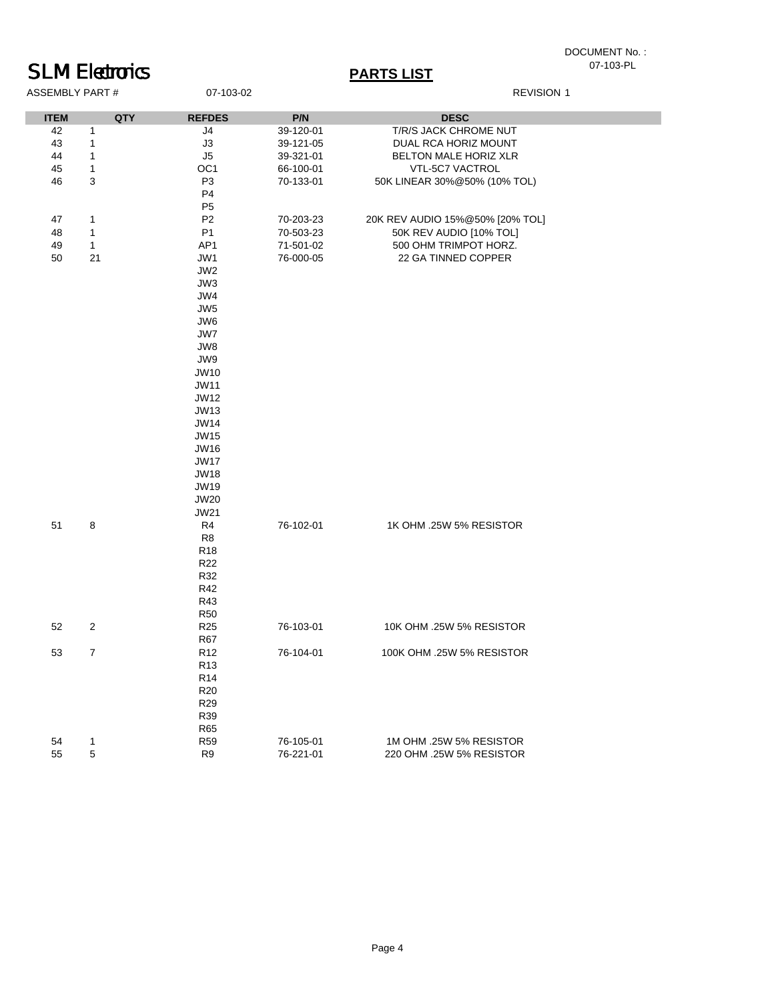## DOCUMENT No.:<br>07-103-PL

### **SLM Electronics**<br>ASSEMBLY PART # 07-103-02 **PARTS LIST**<br>REVISION 1 ASSEMBLY PART #

| QTY<br>P/N<br><b>DESC</b><br><b>REFDES</b><br>1<br>J4<br>39-120-01<br>T/R/S JACK CHROME NUT<br>$\mathbf{1}$<br>J3<br>39-121-05<br>DUAL RCA HORIZ MOUNT<br>$\mathbf{1}$<br>J5<br>39-321-01<br>BELTON MALE HORIZ XLR<br>$\mathbf{1}$<br>OC <sub>1</sub><br>66-100-01<br>VTL-5C7 VACTROL<br>3<br>P <sub>3</sub><br>70-133-01<br>50K LINEAR 30%@50% (10% TOL)<br>P <sub>4</sub><br>P <sub>5</sub><br>P <sub>2</sub><br>$\mathbf{1}$<br>20K REV AUDIO 15%@50% [20% TOL]<br>70-203-23<br>$\mathbf{1}$<br>P <sub>1</sub><br>50K REV AUDIO [10% TOL]<br>70-503-23<br>$\mathbf{1}$<br>AP1<br>71-501-02<br>500 OHM TRIMPOT HORZ.<br>21<br>JW1<br>76-000-05<br>22 GA TINNED COPPER<br>JW2<br>JW3<br>JW4<br>JW <sub>5</sub><br>JW6<br>JW7<br>JW8<br>JW9<br><b>JW10</b><br><b>JW11</b><br><b>JW12</b><br><b>JW13</b><br><b>JW14</b><br><b>JW15</b><br><b>JW16</b><br><b>JW17</b><br><b>JW18</b><br><b>JW19</b><br><b>JW20</b><br><b>JW21</b><br>8<br>R <sub>4</sub><br>76-102-01<br>1K OHM .25W 5% RESISTOR<br>R <sub>8</sub><br>R <sub>18</sub><br>R <sub>22</sub><br>R32<br>R42<br>R43<br><b>R50</b><br>$\overline{\mathbf{c}}$<br>76-103-01<br>R <sub>25</sub><br>10K OHM .25W 5% RESISTOR<br><b>R67</b><br>$\overline{7}$<br>R <sub>12</sub><br>76-104-01<br>100K OHM .25W 5% RESISTOR<br>R <sub>13</sub> |             |
|--------------------------------------------------------------------------------------------------------------------------------------------------------------------------------------------------------------------------------------------------------------------------------------------------------------------------------------------------------------------------------------------------------------------------------------------------------------------------------------------------------------------------------------------------------------------------------------------------------------------------------------------------------------------------------------------------------------------------------------------------------------------------------------------------------------------------------------------------------------------------------------------------------------------------------------------------------------------------------------------------------------------------------------------------------------------------------------------------------------------------------------------------------------------------------------------------------------------------------------------------------------------------------------------------|-------------|
|                                                                                                                                                                                                                                                                                                                                                                                                                                                                                                                                                                                                                                                                                                                                                                                                                                                                                                                                                                                                                                                                                                                                                                                                                                                                                                  | <b>ITEM</b> |
|                                                                                                                                                                                                                                                                                                                                                                                                                                                                                                                                                                                                                                                                                                                                                                                                                                                                                                                                                                                                                                                                                                                                                                                                                                                                                                  | 42          |
|                                                                                                                                                                                                                                                                                                                                                                                                                                                                                                                                                                                                                                                                                                                                                                                                                                                                                                                                                                                                                                                                                                                                                                                                                                                                                                  | 43          |
|                                                                                                                                                                                                                                                                                                                                                                                                                                                                                                                                                                                                                                                                                                                                                                                                                                                                                                                                                                                                                                                                                                                                                                                                                                                                                                  | 44          |
|                                                                                                                                                                                                                                                                                                                                                                                                                                                                                                                                                                                                                                                                                                                                                                                                                                                                                                                                                                                                                                                                                                                                                                                                                                                                                                  | 45          |
|                                                                                                                                                                                                                                                                                                                                                                                                                                                                                                                                                                                                                                                                                                                                                                                                                                                                                                                                                                                                                                                                                                                                                                                                                                                                                                  | 46          |
|                                                                                                                                                                                                                                                                                                                                                                                                                                                                                                                                                                                                                                                                                                                                                                                                                                                                                                                                                                                                                                                                                                                                                                                                                                                                                                  |             |
|                                                                                                                                                                                                                                                                                                                                                                                                                                                                                                                                                                                                                                                                                                                                                                                                                                                                                                                                                                                                                                                                                                                                                                                                                                                                                                  |             |
|                                                                                                                                                                                                                                                                                                                                                                                                                                                                                                                                                                                                                                                                                                                                                                                                                                                                                                                                                                                                                                                                                                                                                                                                                                                                                                  | 47          |
|                                                                                                                                                                                                                                                                                                                                                                                                                                                                                                                                                                                                                                                                                                                                                                                                                                                                                                                                                                                                                                                                                                                                                                                                                                                                                                  | 48          |
|                                                                                                                                                                                                                                                                                                                                                                                                                                                                                                                                                                                                                                                                                                                                                                                                                                                                                                                                                                                                                                                                                                                                                                                                                                                                                                  | 49          |
|                                                                                                                                                                                                                                                                                                                                                                                                                                                                                                                                                                                                                                                                                                                                                                                                                                                                                                                                                                                                                                                                                                                                                                                                                                                                                                  | 50          |
|                                                                                                                                                                                                                                                                                                                                                                                                                                                                                                                                                                                                                                                                                                                                                                                                                                                                                                                                                                                                                                                                                                                                                                                                                                                                                                  |             |
|                                                                                                                                                                                                                                                                                                                                                                                                                                                                                                                                                                                                                                                                                                                                                                                                                                                                                                                                                                                                                                                                                                                                                                                                                                                                                                  |             |
|                                                                                                                                                                                                                                                                                                                                                                                                                                                                                                                                                                                                                                                                                                                                                                                                                                                                                                                                                                                                                                                                                                                                                                                                                                                                                                  |             |
|                                                                                                                                                                                                                                                                                                                                                                                                                                                                                                                                                                                                                                                                                                                                                                                                                                                                                                                                                                                                                                                                                                                                                                                                                                                                                                  |             |
|                                                                                                                                                                                                                                                                                                                                                                                                                                                                                                                                                                                                                                                                                                                                                                                                                                                                                                                                                                                                                                                                                                                                                                                                                                                                                                  |             |
|                                                                                                                                                                                                                                                                                                                                                                                                                                                                                                                                                                                                                                                                                                                                                                                                                                                                                                                                                                                                                                                                                                                                                                                                                                                                                                  |             |
|                                                                                                                                                                                                                                                                                                                                                                                                                                                                                                                                                                                                                                                                                                                                                                                                                                                                                                                                                                                                                                                                                                                                                                                                                                                                                                  |             |
|                                                                                                                                                                                                                                                                                                                                                                                                                                                                                                                                                                                                                                                                                                                                                                                                                                                                                                                                                                                                                                                                                                                                                                                                                                                                                                  |             |
|                                                                                                                                                                                                                                                                                                                                                                                                                                                                                                                                                                                                                                                                                                                                                                                                                                                                                                                                                                                                                                                                                                                                                                                                                                                                                                  |             |
|                                                                                                                                                                                                                                                                                                                                                                                                                                                                                                                                                                                                                                                                                                                                                                                                                                                                                                                                                                                                                                                                                                                                                                                                                                                                                                  |             |
|                                                                                                                                                                                                                                                                                                                                                                                                                                                                                                                                                                                                                                                                                                                                                                                                                                                                                                                                                                                                                                                                                                                                                                                                                                                                                                  |             |
|                                                                                                                                                                                                                                                                                                                                                                                                                                                                                                                                                                                                                                                                                                                                                                                                                                                                                                                                                                                                                                                                                                                                                                                                                                                                                                  |             |
|                                                                                                                                                                                                                                                                                                                                                                                                                                                                                                                                                                                                                                                                                                                                                                                                                                                                                                                                                                                                                                                                                                                                                                                                                                                                                                  |             |
|                                                                                                                                                                                                                                                                                                                                                                                                                                                                                                                                                                                                                                                                                                                                                                                                                                                                                                                                                                                                                                                                                                                                                                                                                                                                                                  |             |
|                                                                                                                                                                                                                                                                                                                                                                                                                                                                                                                                                                                                                                                                                                                                                                                                                                                                                                                                                                                                                                                                                                                                                                                                                                                                                                  |             |
|                                                                                                                                                                                                                                                                                                                                                                                                                                                                                                                                                                                                                                                                                                                                                                                                                                                                                                                                                                                                                                                                                                                                                                                                                                                                                                  |             |
|                                                                                                                                                                                                                                                                                                                                                                                                                                                                                                                                                                                                                                                                                                                                                                                                                                                                                                                                                                                                                                                                                                                                                                                                                                                                                                  |             |
|                                                                                                                                                                                                                                                                                                                                                                                                                                                                                                                                                                                                                                                                                                                                                                                                                                                                                                                                                                                                                                                                                                                                                                                                                                                                                                  |             |
|                                                                                                                                                                                                                                                                                                                                                                                                                                                                                                                                                                                                                                                                                                                                                                                                                                                                                                                                                                                                                                                                                                                                                                                                                                                                                                  |             |
|                                                                                                                                                                                                                                                                                                                                                                                                                                                                                                                                                                                                                                                                                                                                                                                                                                                                                                                                                                                                                                                                                                                                                                                                                                                                                                  |             |
|                                                                                                                                                                                                                                                                                                                                                                                                                                                                                                                                                                                                                                                                                                                                                                                                                                                                                                                                                                                                                                                                                                                                                                                                                                                                                                  |             |
|                                                                                                                                                                                                                                                                                                                                                                                                                                                                                                                                                                                                                                                                                                                                                                                                                                                                                                                                                                                                                                                                                                                                                                                                                                                                                                  | 51          |
|                                                                                                                                                                                                                                                                                                                                                                                                                                                                                                                                                                                                                                                                                                                                                                                                                                                                                                                                                                                                                                                                                                                                                                                                                                                                                                  |             |
|                                                                                                                                                                                                                                                                                                                                                                                                                                                                                                                                                                                                                                                                                                                                                                                                                                                                                                                                                                                                                                                                                                                                                                                                                                                                                                  |             |
|                                                                                                                                                                                                                                                                                                                                                                                                                                                                                                                                                                                                                                                                                                                                                                                                                                                                                                                                                                                                                                                                                                                                                                                                                                                                                                  |             |
|                                                                                                                                                                                                                                                                                                                                                                                                                                                                                                                                                                                                                                                                                                                                                                                                                                                                                                                                                                                                                                                                                                                                                                                                                                                                                                  |             |
|                                                                                                                                                                                                                                                                                                                                                                                                                                                                                                                                                                                                                                                                                                                                                                                                                                                                                                                                                                                                                                                                                                                                                                                                                                                                                                  |             |
|                                                                                                                                                                                                                                                                                                                                                                                                                                                                                                                                                                                                                                                                                                                                                                                                                                                                                                                                                                                                                                                                                                                                                                                                                                                                                                  |             |
|                                                                                                                                                                                                                                                                                                                                                                                                                                                                                                                                                                                                                                                                                                                                                                                                                                                                                                                                                                                                                                                                                                                                                                                                                                                                                                  |             |
|                                                                                                                                                                                                                                                                                                                                                                                                                                                                                                                                                                                                                                                                                                                                                                                                                                                                                                                                                                                                                                                                                                                                                                                                                                                                                                  | 52          |
|                                                                                                                                                                                                                                                                                                                                                                                                                                                                                                                                                                                                                                                                                                                                                                                                                                                                                                                                                                                                                                                                                                                                                                                                                                                                                                  |             |
|                                                                                                                                                                                                                                                                                                                                                                                                                                                                                                                                                                                                                                                                                                                                                                                                                                                                                                                                                                                                                                                                                                                                                                                                                                                                                                  | 53          |
|                                                                                                                                                                                                                                                                                                                                                                                                                                                                                                                                                                                                                                                                                                                                                                                                                                                                                                                                                                                                                                                                                                                                                                                                                                                                                                  |             |
| R <sub>14</sub>                                                                                                                                                                                                                                                                                                                                                                                                                                                                                                                                                                                                                                                                                                                                                                                                                                                                                                                                                                                                                                                                                                                                                                                                                                                                                  |             |
| <b>R20</b>                                                                                                                                                                                                                                                                                                                                                                                                                                                                                                                                                                                                                                                                                                                                                                                                                                                                                                                                                                                                                                                                                                                                                                                                                                                                                       |             |
| R <sub>29</sub>                                                                                                                                                                                                                                                                                                                                                                                                                                                                                                                                                                                                                                                                                                                                                                                                                                                                                                                                                                                                                                                                                                                                                                                                                                                                                  |             |
| R39                                                                                                                                                                                                                                                                                                                                                                                                                                                                                                                                                                                                                                                                                                                                                                                                                                                                                                                                                                                                                                                                                                                                                                                                                                                                                              |             |
| <b>R65</b>                                                                                                                                                                                                                                                                                                                                                                                                                                                                                                                                                                                                                                                                                                                                                                                                                                                                                                                                                                                                                                                                                                                                                                                                                                                                                       |             |
| <b>R59</b><br>76-105-01<br>1M OHM .25W 5% RESISTOR<br>$\mathbf{1}$                                                                                                                                                                                                                                                                                                                                                                                                                                                                                                                                                                                                                                                                                                                                                                                                                                                                                                                                                                                                                                                                                                                                                                                                                               | 54          |
| 5<br>R <sub>9</sub><br>76-221-01<br>220 OHM .25W 5% RESISTOR                                                                                                                                                                                                                                                                                                                                                                                                                                                                                                                                                                                                                                                                                                                                                                                                                                                                                                                                                                                                                                                                                                                                                                                                                                     | 55          |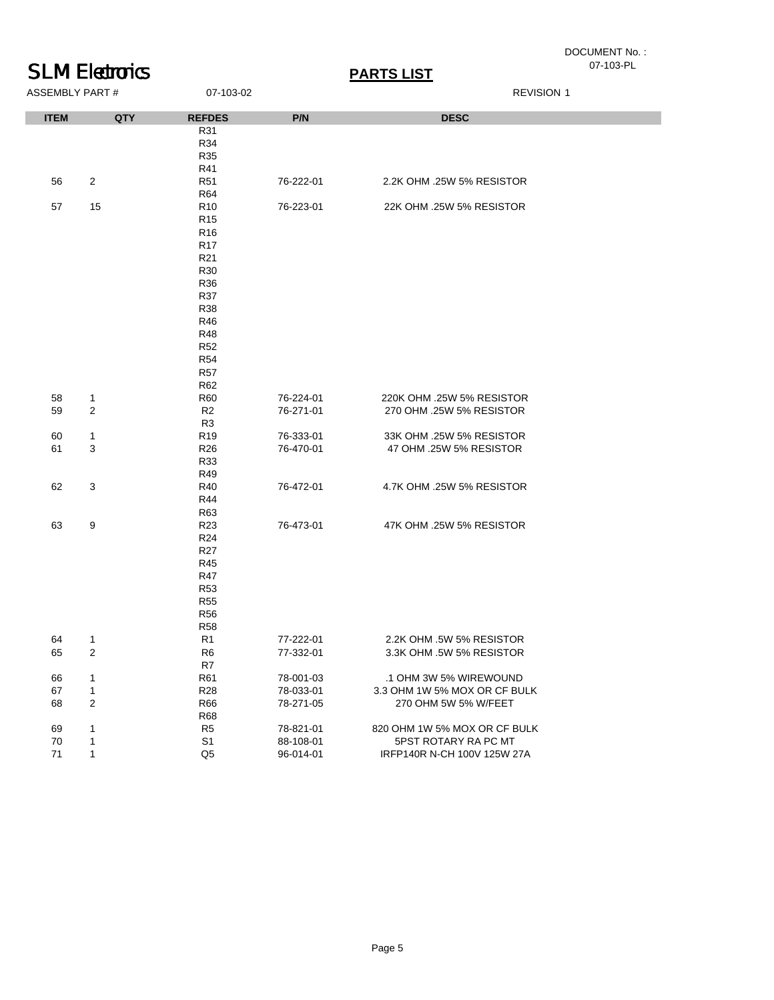# DOCUMENT No. :<br>07-103-PL

| <b>SLM Electronics</b> |                | <b>PARTS LIST</b> |           |                              | 07-103-PL |
|------------------------|----------------|-------------------|-----------|------------------------------|-----------|
| <b>ASSEMBLY PART#</b>  |                | 07-103-02         |           | <b>REVISION 1</b>            |           |
| <b>ITEM</b>            | QTY            | <b>REFDES</b>     | P/N       | <b>DESC</b>                  |           |
|                        |                | R31               |           |                              |           |
|                        |                | R34               |           |                              |           |
|                        |                | <b>R35</b>        |           |                              |           |
|                        |                | R41               |           |                              |           |
| 56                     | $\overline{2}$ | <b>R51</b>        | 76-222-01 | 2.2K OHM .25W 5% RESISTOR    |           |
|                        |                | <b>R64</b>        |           |                              |           |
| 57                     | 15             | R <sub>10</sub>   | 76-223-01 | 22K OHM .25W 5% RESISTOR     |           |
|                        |                | R <sub>15</sub>   |           |                              |           |
|                        |                | R <sub>16</sub>   |           |                              |           |
|                        |                | <b>R17</b>        |           |                              |           |
|                        |                | R <sub>21</sub>   |           |                              |           |
|                        |                | R <sub>30</sub>   |           |                              |           |
|                        |                | <b>R36</b>        |           |                              |           |
|                        |                | <b>R37</b>        |           |                              |           |
|                        |                | <b>R38</b>        |           |                              |           |
|                        |                | R46               |           |                              |           |
|                        |                | <b>R48</b>        |           |                              |           |
|                        |                | <b>R52</b>        |           |                              |           |
|                        |                | <b>R54</b>        |           |                              |           |
|                        |                |                   |           |                              |           |
|                        |                | <b>R57</b>        |           |                              |           |
|                        |                | R62               |           |                              |           |
| 58                     | $\mathbf{1}$   | <b>R60</b>        | 76-224-01 | 220K OHM .25W 5% RESISTOR    |           |
| 59                     | $\overline{2}$ | R <sub>2</sub>    | 76-271-01 | 270 OHM .25W 5% RESISTOR     |           |
|                        |                | R <sub>3</sub>    |           |                              |           |
| 60                     | $\mathbf{1}$   | R <sub>19</sub>   | 76-333-01 | 33K OHM .25W 5% RESISTOR     |           |
| 61                     | 3              | R <sub>26</sub>   | 76-470-01 | 47 OHM .25W 5% RESISTOR      |           |
|                        |                | R33               |           |                              |           |
|                        |                | R49               |           |                              |           |
| 62                     | 3              | R40               | 76-472-01 | 4.7K OHM .25W 5% RESISTOR    |           |
|                        |                | R44               |           |                              |           |
|                        |                | R63               |           |                              |           |
| 63                     | 9              | R <sub>23</sub>   | 76-473-01 | 47K OHM .25W 5% RESISTOR     |           |
|                        |                | R <sub>24</sub>   |           |                              |           |
|                        |                | <b>R27</b>        |           |                              |           |
|                        |                | R45               |           |                              |           |
|                        |                | <b>R47</b>        |           |                              |           |
|                        |                | <b>R53</b>        |           |                              |           |
|                        |                | <b>R55</b>        |           |                              |           |
|                        |                | <b>R56</b>        |           |                              |           |
|                        |                | <b>R58</b>        |           |                              |           |
| 64                     | $\mathbf{1}$   | R1                | 77-222-01 | 2.2K OHM .5W 5% RESISTOR     |           |
| 65                     | $\overline{c}$ | R <sub>6</sub>    | 77-332-01 | 3.3K OHM .5W 5% RESISTOR     |           |
|                        |                | R7                |           |                              |           |
| 66                     | $\mathbf{1}$   | <b>R61</b>        | 78-001-03 | .1 OHM 3W 5% WIREWOUND       |           |
| 67                     | 1              | <b>R28</b>        | 78-033-01 | 3.3 OHM 1W 5% MOX OR CF BULK |           |
| 68                     | $\overline{2}$ | <b>R66</b>        | 78-271-05 | 270 OHM 5W 5% W/FEET         |           |
|                        |                | <b>R68</b>        |           |                              |           |
| 69                     | 1              | R <sub>5</sub>    | 78-821-01 | 820 OHM 1W 5% MOX OR CF BULK |           |
| 70                     | $\mathbf{1}$   | S <sub>1</sub>    | 88-108-01 | 5PST ROTARY RA PC MT         |           |
| 71                     | $\mathbf{1}$   | Q <sub>5</sub>    | 96-014-01 | IRFP140R N-CH 100V 125W 27A  |           |
|                        |                |                   |           |                              |           |